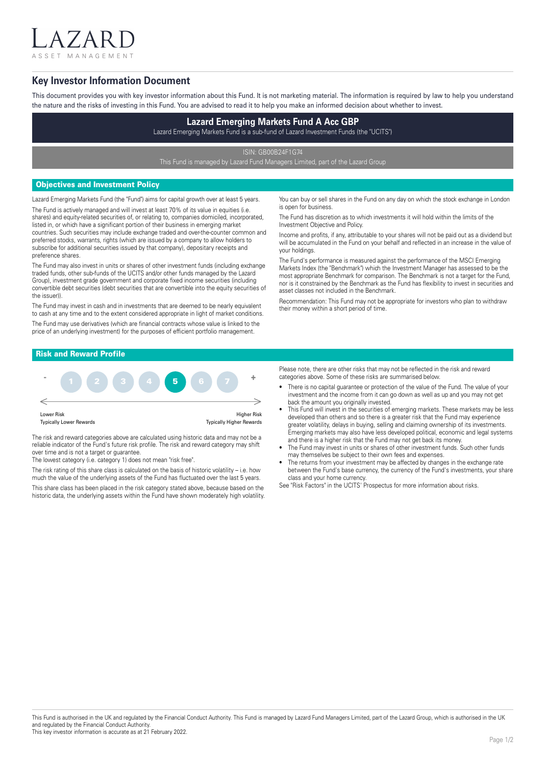ASSET MANAGEMENT

 $7$  A I

## **Key Investor Information Document**

This document provides you with key investor information about this Fund. It is not marketing material. The information is required by law to help you understand the nature and the risks of investing in this Fund. You are advised to read it to help you make an informed decision about whether to invest.

# **Lazard Emerging Markets Fund A Acc GBP**

Lazard Emerging Markets Fund is a sub-fund of Lazard Investment Funds (the "UCITS")

ISIN: GB00B24F1G74

This Fund is managed by Lazard Fund Managers Limited, part of the Lazard Group

## Objectives and Investment Policy

Lazard Emerging Markets Fund (the "Fund") aims for capital growth over at least 5 years. The Fund is actively managed and will invest at least 70% of its value in equities (i.e. shares) and equity-related securities of, or relating to, companies domiciled, incorporated, listed in, or which have a significant portion of their business in emerging market countries. Such securities may include exchange traded and over-the-counter common and preferred stocks, warrants, rights (which are issued by a company to allow holders to

subscribe for additional securities issued by that company), depositary receipts and preference shares. The Fund may also invest in units or shares of other investment funds (including exchange traded funds, other sub-funds of the UCITS and/or other funds managed by the Lazard

Group), investment grade government and corporate fixed income securities (including convertible debt securities (debt securities that are convertible into the equity securities of the issuer)).

The Fund may invest in cash and in investments that are deemed to be nearly equivalent to cash at any time and to the extent considered appropriate in light of market conditions. The Fund may use derivatives (which are financial contracts whose value is linked to the price of an underlying investment) for the purposes of efficient portfolio management.

You can buy or sell shares in the Fund on any day on which the stock exchange in London is open for business.

The Fund has discretion as to which investments it will hold within the limits of the Investment Objective and Policy.

Income and profits, if any, attributable to your shares will not be paid out as a dividend but will be accumulated in the Fund on your behalf and reflected in an increase in the value of your holdings.

The Fund's performance is measured against the performance of the MSCI Emerging Markets Index (the "Benchmark") which the Investment Manager has assessed to be the most appropriate Benchmark for comparison. The Benchmark is not a target for the Fund, nor is it constrained by the Benchmark as the Fund has flexibility to invest in securities and asset classes not included in the Benchmark.

Recommendation: This Fund may not be appropriate for investors who plan to withdraw their money within a short period of time.

## Risk and Reward Profile



The risk and reward categories above are calculated using historic data and may not be a reliable indicator of the Fund's future risk profile. The risk and reward category may shift over time and is not a target or guarantee.

The lowest category (i.e. category 1) does not mean "risk free".

The risk rating of this share class is calculated on the basis of historic volatility – i.e. how much the value of the underlying assets of the Fund has fluctuated over the last 5 years.

This share class has been placed in the risk category stated above, because based on the historic data, the underlying assets within the Fund have shown moderately high volatility. Please note, there are other risks that may not be reflected in the risk and reward categories above. Some of these risks are summarised below.

- There is no capital guarantee or protection of the value of the Fund. The value of your investment and the income from it can go down as well as up and you may not get back the amount you originally invested.
- This Fund will invest in the securities of emerging markets. These markets may be less developed than others and so there is a greater risk that the Fund may experience greater volatility, delays in buying, selling and claiming ownership of its investments. Emerging markets may also have less developed political, economic and legal systems and there is a higher risk that the Fund may not get back its money.
- The Fund may invest in units or shares of other investment funds. Such other funds may themselves be subject to their own fees and expenses.
- The returns from your investment may be affected by changes in the exchange rate between the Fund's base currency, the currency of the Fund's investments, your share class and your home currency.

See "Risk Factors" in the UCITS' Prospectus for more information about risks.